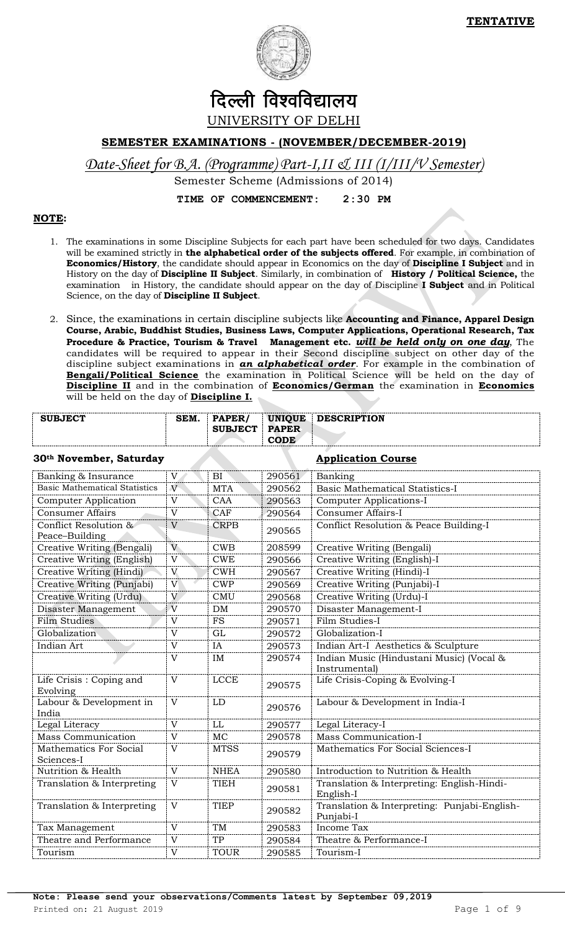

# दिल्ली विश्वविद्यालय UNIVERSITY OF DELHI

## **SEMESTER EXAMINATIONS - (NOVEMBER/DECEMBER-2019)**

*Date-Sheet for B.A. (Programme) Part-I,II & III (I/III/V Semester)*

Semester Scheme (Admissions of 2014)

**TIME OF COMMENCEMENT: 2:30 PM**

## **NOTE:**

- 1. The examinations in some Discipline Subjects for each part have been scheduled for two days. Candidates will be examined strictly in **the alphabetical order of the subjects offered**. For example, in combination of **Economics/History**, the candidate should appear in Economics on the day of **Discipline I Subject** and in History on the day of **Discipline II Subject**. Similarly, in combination of **History / Political Science,** the examination in History, the candidate should appear on the day of Discipline **I Subject** and in Political Science, on the day of **Discipline II Subject**.
- 2. Since, the examinations in certain discipline subjects like **Accounting and Finance, Apparel Design Course, Arabic, Buddhist Studies, Business Laws, Computer Applications, Operational Research, Tax Procedure & Practice, Tourism & Travel Management etc.** *will be held only on one day*, The candidates will be required to appear in their Second discipline subject on other day of the discipline subject examinations in *an alphabetical order*. For example in the combination of **Bengali/Political Science** the examination in Political Science will be held on the day of **Discipline II** and in the combination of **Economics/German** the examination in **Economics** will be held on the day of **Discipline I.**

| <b>SUBJECT</b> | SEM. | <b>PAPER</b>   | <b>UNIOUE</b>     | <b>DESCRIPTION</b> |
|----------------|------|----------------|-------------------|--------------------|
|                |      | <b>SUBJECT</b> | <b>PAPER</b>      |                    |
|                |      |                | $\sim$ ODE $\sim$ |                    |

### **30th November, Saturday Application Course**

| Banking & Insurance                  | $\mathbf{V}$   | BI          | 290561 | Banking                                                   |
|--------------------------------------|----------------|-------------|--------|-----------------------------------------------------------|
| <b>Basic Mathematical Statistics</b> | $\overline{V}$ | <b>MTA</b>  | 290562 | <b>Basic Mathematical Statistics-I</b>                    |
| <b>Computer Application</b>          | V              | <b>CAA</b>  | 290563 | Computer Applications-I                                   |
| <b>Consumer Affairs</b>              | $\mathbf{V}$   | CAF         | 290564 | <b>Consumer Affairs-I</b>                                 |
| Conflict Resolution &                | V              | <b>CRPB</b> | 290565 | Conflict Resolution & Peace Building-I                    |
| Peace-Building                       |                |             |        |                                                           |
| Creative Writing (Bengali)           | V              | CWB         | 208599 | Creative Writing (Bengali)                                |
| Creative Writing (English)           | $\overline{V}$ | <b>CWE</b>  | 290566 | Creative Writing (English)-I                              |
| Creative Writing (Hindi)             | V              | <b>CWH</b>  | 290567 | Creative Writing (Hindi)-I                                |
| Creative Writing (Punjabi)           | $\mathbf{V}$   | <b>CWP</b>  | 290569 | Creative Writing (Punjabi)-I                              |
| Creative Writing (Urdu)              | V              | <b>CMU</b>  | 290568 | Creative Writing (Urdu)-I                                 |
| Disaster Management                  | $\overline{V}$ | DM          | 290570 | Disaster Management-I                                     |
| <b>Film Studies</b>                  | $\mathbf{V}$   | <b>FS</b>   | 290571 | Film Studies-I                                            |
| Globalization                        | $\mathbf{V}$   | GL          | 290572 | Globalization-I                                           |
| Indian Art                           | $\overline{V}$ | IA          | 290573 | Indian Art-I Aesthetics & Sculpture                       |
|                                      | V              | IM          | 290574 | Indian Music (Hindustani Music) (Vocal &                  |
|                                      |                |             |        | Instrumental)                                             |
| Life Crisis: Coping and              | V              | <b>LCCE</b> | 290575 | Life Crisis-Coping & Evolving-I                           |
| Evolving                             |                |             |        |                                                           |
| Labour & Development in              | V              | <b>LD</b>   | 290576 | Labour & Development in India-I                           |
| India<br>Legal Literacy              | V              | LL          | 290577 | Legal Literacy-I                                          |
| <b>Mass Communication</b>            | V              | <b>MC</b>   |        | Mass Communication-I                                      |
|                                      |                |             | 290578 |                                                           |
| Mathematics For Social<br>Sciences-I | V              | <b>MTSS</b> | 290579 | Mathematics For Social Sciences-I                         |
| Nutrition & Health                   | V              | <b>NHEA</b> | 290580 | Introduction to Nutrition & Health                        |
| Translation & Interpreting           | $\mathbf{V}$   | <b>TIEH</b> |        | Translation & Interpreting: English-Hindi-                |
|                                      |                |             | 290581 | English-I                                                 |
| Translation & Interpreting           | $\mathbf{V}$   | <b>TIEP</b> | 290582 | Translation & Interpreting: Punjabi-English-<br>Punjabi-I |
| Tax Management                       | $\mathbf{V}$   | <b>TM</b>   | 290583 | Income Tax                                                |
| Theatre and Performance              | V              | <b>TP</b>   | 290584 | Theatre & Performance-I                                   |
| Tourism                              | $\mathbf{V}$   | <b>TOUR</b> | 290585 | Tourism-I                                                 |
|                                      |                |             |        |                                                           |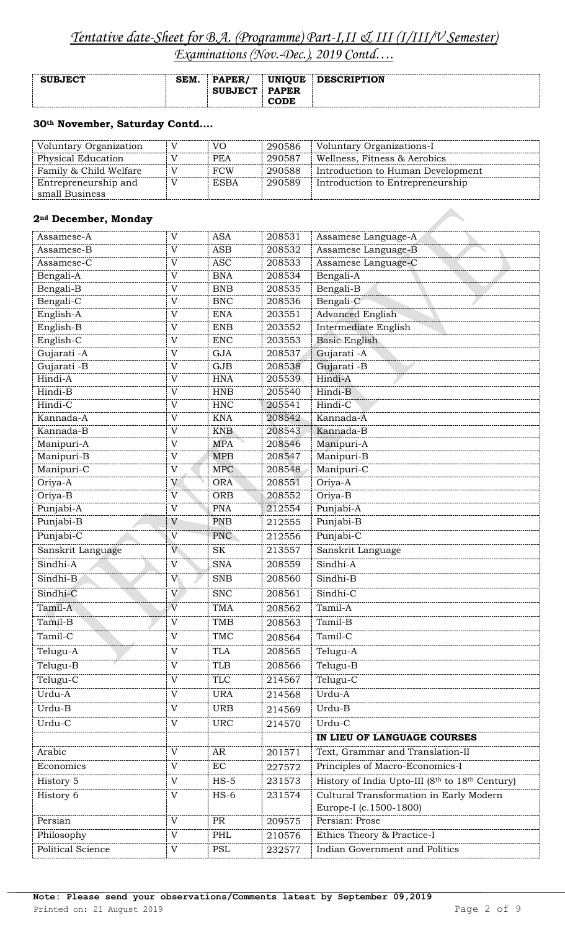# *Tentative date-Sheet for B.A. (Programme) Part-I,II & III (I/III/V Semester)*

*Examinations (Nov.-Dec.), 2019 Contd….*

| <b>SUBJECT</b> | <b>SEM</b> | <b>PAPER</b>   | <b>UNIQUE</b> | <b>DESCRIPTION</b> |
|----------------|------------|----------------|---------------|--------------------|
|                |            | <b>SUBJECT</b> | <b>PAPER</b>  |                    |
|                |            |                | <b>CODE</b>   |                    |

## **30th November, Saturday Contd….**

| Voluntary Organization | V | VO.         | 290586 | Voluntary Organizations-I         |
|------------------------|---|-------------|--------|-----------------------------------|
| Physical Education     |   | <b>PEA</b>  | 290587 | Wellness, Fitness & Aerobics      |
| Family & Child Welfare | V | <b>FCW</b>  | 290588 | Introduction to Human Development |
| Entrepreneurship and   | V | <b>ESBA</b> | 290589 | Introduction to Entrepreneurship  |
| small Business         |   |             |        |                                   |

## **2nd December, Monday**

| Assamese-A        | $\mathbf{V}$              | <b>ASA</b> | 208531 | Assamese Language-A                                               |
|-------------------|---------------------------|------------|--------|-------------------------------------------------------------------|
| Assamese-B        | V                         | <b>ASB</b> | 208532 | Assamese Language-B                                               |
| Assamese-C        | $\mathbf V$               | <b>ASC</b> | 208533 | Assamese Language-C                                               |
| Bengali-A         | $\mathbf V$               | <b>BNA</b> | 208534 | Bengali-A                                                         |
| Bengali-B         | V                         | <b>BNB</b> | 208535 | Bengali-B                                                         |
| Bengali-C         | $\mathbf V$               | <b>BNC</b> | 208536 | Bengali-C                                                         |
| English-A         | $\mathbf V$               | <b>ENA</b> | 203551 | <b>Advanced English</b>                                           |
| English-B         | V                         | <b>ENB</b> | 203552 | Intermediate English                                              |
| English-C         | $\mathbf V$               | <b>ENC</b> | 203553 | <b>Basic English</b>                                              |
| Gujarati -A       | $\mathbf V$               | <b>GJA</b> | 208537 | Gujarati - A                                                      |
| Gujarati -B       | V                         | GJB        | 208538 | Gujarati -B                                                       |
| Hindi-A           | $\mathbf V$               | <b>HNA</b> | 205539 | Hindi-A                                                           |
| Hindi-B           | $\mathbf V$               | <b>HNB</b> | 205540 | Hindi-B                                                           |
| Hindi-C           | V                         | <b>HNC</b> | 205541 | Hindi-C                                                           |
| Kannada-A         | V                         | <b>KNA</b> | 208542 | Kannada-A                                                         |
| Kannada-B         | $\mathbf V$               | <b>KNB</b> | 208543 | Kannada-B                                                         |
| Manipuri-A        | V                         | <b>MPA</b> | 208546 | Manipuri-A                                                        |
| Manipuri-B        | $\mathbf V$               | <b>MPB</b> | 208547 | Manipuri-B                                                        |
| Manipuri-C        | $\mathbf V$               | <b>MPC</b> | 208548 | Manipuri-C                                                        |
| Oriya-A           | V                         | <b>ORA</b> | 208551 | Oriya-A                                                           |
| Oriya-B           | $\mathbf{V}$              | <b>ORB</b> | 208552 | Oriya-B                                                           |
| Punjabi-A         | $\mathbf V$               | <b>PNA</b> | 212554 | Punjabi-A                                                         |
| Punjabi-B         | V                         | <b>PNB</b> | 212555 | Punjabi-B                                                         |
| Punjabi-C         | $\overline{V}$            | PNC        | 212556 | Punjabi-C                                                         |
| Sanskrit Language | V                         | <b>SK</b>  | 213557 | Sanskrit Language                                                 |
| Sindhi-A          | $\mathbf V$               | <b>SNA</b> | 208559 | Sindhi-A                                                          |
| Sindhi-B          | V                         | <b>SNB</b> | 208560 | Sindhi-B                                                          |
| Sindhi-C          | V                         | <b>SNC</b> | 208561 | Sindhi-C                                                          |
| Tamil-A           | $\overline{V}$            | <b>TMA</b> | 208562 | Tamil-A                                                           |
| Tamil-B           | $\mathbf V$               | <b>TMB</b> | 208563 | Tamil-B                                                           |
| Tamil-C           | $\mathbf V$               | TMC        | 208564 | Tamil-C                                                           |
| Telugu-A          | $\mathbf{V}$              | <b>TLA</b> | 208565 | Telugu-A                                                          |
| Telugu-B          | V                         | <b>TLB</b> | 208566 | Telugu-B                                                          |
| Telugu-C          | $\mathbf V$               | <b>TLC</b> | 214567 | Telugu-C                                                          |
| Urdu-A            | $\mathbf V$               | <b>URA</b> | 214568 | Urdu-A                                                            |
| Urdu-B            | V                         | <b>URB</b> | 214569 | Urdu-B                                                            |
| Urdu-C            | $\mathbf V$               | <b>URC</b> | 214570 | Urdu-C                                                            |
|                   |                           |            |        | IN LIEU OF LANGUAGE COURSES                                       |
| Arabic            | $\mathbf V$               | AR         | 201571 | Text, Grammar and Translation-II                                  |
| Economics         | $\mathbf V$               | $\rm EC$   | 227572 | Principles of Macro-Economics-I                                   |
| History 5         | V                         | $HS-5$     | 231573 | History of India Upto-III (8th to 18th Century)                   |
| History 6         | V                         | $HS-6$     | 231574 | Cultural Transformation in Early Modern<br>Europe-I (c.1500-1800) |
| Persian           | $\mathbf{V}$              | PR         | 209575 | Persian: Prose                                                    |
| Philosophy        | $\mathbf V$               | PHL        | 210576 | Ethics Theory & Practice-I                                        |
| Political Science | $\ensuremath{\mathbf{V}}$ | PSL        | 232577 | <b>Indian Government and Politics</b>                             |
|                   |                           |            |        |                                                                   |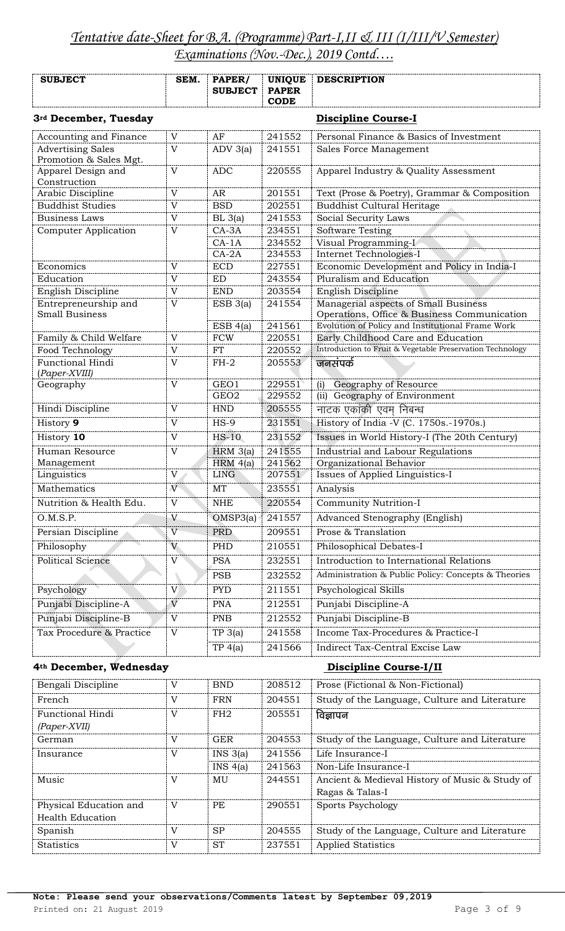| <b>SUBJECT</b>                                     | SEM.                      | PAPER/<br><b>SUBJECT</b> | <b>UNIQUE</b><br><b>PAPER</b><br><b>CODE</b> | <b>DESCRIPTION</b>                                                                  |
|----------------------------------------------------|---------------------------|--------------------------|----------------------------------------------|-------------------------------------------------------------------------------------|
| 3rd December, Tuesday                              |                           |                          |                                              | <b>Discipline Course-I</b>                                                          |
| Accounting and Finance                             | V                         | AF                       | 241552                                       | Personal Finance & Basics of Investment                                             |
| <b>Advertising Sales</b><br>Promotion & Sales Mgt. | $\mathbf V$               | $ADV$ 3(a)               | 241551                                       | Sales Force Management                                                              |
| Apparel Design and<br>Construction                 | V                         | <b>ADC</b>               | 220555                                       | Apparel Industry & Quality Assessment                                               |
| Arabic Discipline                                  | V                         | AR                       | 201551                                       | Text (Prose & Poetry), Grammar & Composition                                        |
| <b>Buddhist Studies</b>                            | $\mathbf V$               | <b>BSD</b>               | 202551                                       | Buddhist Cultural Heritage                                                          |
| <b>Business Laws</b>                               | $\mathbf V$               | BL 3(a)                  | 241553                                       | Social Security Laws                                                                |
| <b>Computer Application</b>                        | $\overline{V}$            | $CA-3A$                  | 234551                                       | Software Testing                                                                    |
|                                                    |                           | $CA-1A$                  | 234552                                       | Visual Programming-I                                                                |
|                                                    |                           | $CA-2A$                  | 234553                                       | Internet Technologies-I                                                             |
| Economics                                          | V                         | <b>ECD</b>               | 227551                                       | Economic Development and Policy in India-I                                          |
| Education                                          | V                         | <b>ED</b>                | 243554                                       | Pluralism and Education                                                             |
| English Discipline                                 | $\overline{V}$            | <b>END</b>               | 203554                                       | English Discipline                                                                  |
| Entrepreneurship and<br><b>Small Business</b>      | $\overline{V}$            | $ESB_3(a)$               | 241554                                       | Managerial aspects of Small Business<br>Operations, Office & Business Communication |
|                                                    |                           | ESB 4(a)                 | 241561                                       | Evolution of Policy and Institutional Frame Work                                    |
| Family & Child Welfare                             | $\overline{V}$            | <b>FCW</b>               | 220551                                       | Early Childhood Care and Education                                                  |
| Food Technology                                    | $\mathbf V$               | <b>FT</b>                | 220552                                       | Introduction to Fruit & Vegetable Preservation Technology                           |
| Functional Hindi<br>(Paper-XVIII)                  | V                         | $FH-2$                   | 205553                                       | जनसंपर्क                                                                            |
| Geography                                          | $\mathbf V$               | GEO1                     | 229551                                       | Geography of Resource<br>(i)                                                        |
|                                                    |                           | GEO <sub>2</sub>         | 229552                                       | (ii) Geography of Environment                                                       |
| Hindi Discipline                                   | $\overline{V}$            | <b>HND</b>               | 205555                                       | नाटक एकांकी एवम निबन्ध                                                              |
| History 9                                          | V                         | $HS-9$                   | 231551                                       | History of India -V (C. 1750s.-1970s.)                                              |
| History 10                                         | $\ensuremath{\mathbf{V}}$ | $HS-10$                  | 231552                                       | Issues in World History-I (The 20th Century)                                        |
| Human Resource                                     | $\overline{V}$            | $HRM$ 3(a)               | 241555                                       | Industrial and Labour Regulations                                                   |
| Management                                         |                           | HRM $4(a)$               | 241562                                       | Organizational Behavior                                                             |
| Linguistics                                        | $\mathbf V$               | <b>LING</b>              | 207551                                       | Issues of Applied Linguistics-I                                                     |
| Mathematics                                        | V                         | MT                       | 235551                                       | Analysis                                                                            |
| Nutrition & Health Edu.                            | $\mathbf V$               | <b>NHE</b>               | 220554                                       | Community Nutrition-I                                                               |
| O.M.S.P.                                           | V                         | OMSP3(a)                 | 241557                                       | Advanced Stenography (English)                                                      |
| Persian Discipline                                 | $\overline{V}$            | <b>PRD</b>               | 209551                                       | Prose & Translation                                                                 |
| Philosophy                                         | V                         | PHD                      | 210551                                       | Philosophical Debates-I                                                             |
| <b>Political Science</b>                           | $\mathbf V$               | <b>PSA</b>               | 232551                                       | Introduction to International Relations                                             |
|                                                    |                           | <b>PSB</b>               | 232552                                       | Administration & Public Policy: Concepts & Theories                                 |
| Psychology                                         | V                         | <b>PYD</b>               | 211551                                       | Psychological Skills                                                                |
| Punjabi Discipline-A                               | $\overline{V}$            | <b>PNA</b>               | 212551                                       | Punjabi Discipline-A                                                                |
| Punjabi Discipline-B                               | $\mathbf V$               | <b>PNB</b>               | 212552                                       | Punjabi Discipline-B                                                                |
| Tax Procedure & Practice                           | $\mathbf V$               | TP 3(a)                  | 241558                                       | Income Tax-Procedures & Practice-I                                                  |
|                                                    |                           | TP 4(a)                  | 241566                                       | Indirect Tax-Central Excise Law                                                     |

### **4th December, Wednesday Discipline Course-I/II**

| Bengali Discipline     | $\rm _V$     | <b>BND</b> | 208512 | Prose (Fictional & Non-Fictional)              |
|------------------------|--------------|------------|--------|------------------------------------------------|
| French                 | V            | <b>FRN</b> | 204551 | Study of the Language, Culture and Literature  |
| Functional Hindi       | $\mathbf{V}$ | FH2        | 205551 | विज्ञापन                                       |
| $(Paper-XVII)$         |              |            |        |                                                |
| German                 | V            | <b>GER</b> | 204553 | Study of the Language, Culture and Literature  |
| Insurance              | V            | INS 3(a)   | 241556 | Life Insurance-I                               |
|                        |              | INS 4(a)   | 241563 | Non-Life Insurance-I                           |
| Music                  | V            | MU         | 244551 | Ancient & Medieval History of Music & Study of |
|                        |              |            |        | Ragas & Talas-I                                |
| Physical Education and | V            | PE         | 290551 | Sports Psychology                              |
| Health Education       |              |            |        |                                                |
| Spanish                | V            | <b>SP</b>  | 204555 | Study of the Language, Culture and Literature  |
| <b>Statistics</b>      | V            | <b>ST</b>  | 237551 | <b>Applied Statistics</b>                      |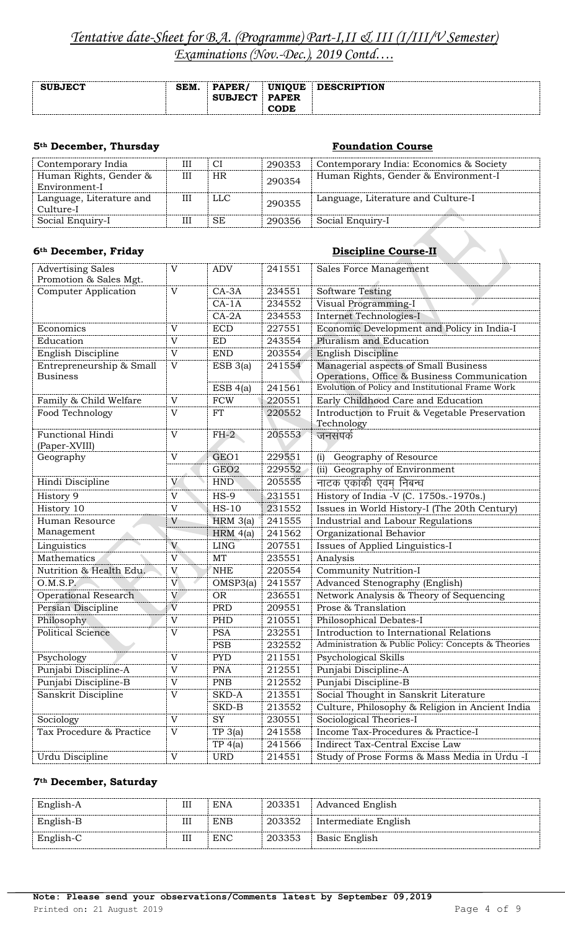| <b>SUBJECT</b> | SEM. | <b>PAPER</b>   | UNIOUE       | <b>DESCRIPTION</b> |
|----------------|------|----------------|--------------|--------------------|
|                |      | <b>SUBJECT</b> | <b>PAPER</b> |                    |
|                |      |                | ODE          |                    |

## **5<sup>th</sup> December, Thursday Foundation Course**

| Contemporary India                      | Ш | СI  | 290353 | Contemporary India: Economics & Society |
|-----------------------------------------|---|-----|--------|-----------------------------------------|
| Human Rights, Gender &<br>Environment-I | Ш | HR. | 290354 | Human Rights, Gender & Environment-I    |
| Language, Literature and<br>Culture-I   | Ш | LLC | 290355 | Language, Literature and Culture-I      |
| Social Enquiry-I                        | Ш | SE  | 290356 | Social Enquiry-I                        |

## **6th December, Friday Discipline Course-II**

| 6th December, Friday                               |                           |                  |        | <b>Discipline Course-II</b>                                                         |
|----------------------------------------------------|---------------------------|------------------|--------|-------------------------------------------------------------------------------------|
| <b>Advertising Sales</b><br>Promotion & Sales Mgt. | $\mathbf V$               | <b>ADV</b>       | 241551 | Sales Force Management                                                              |
| <b>Computer Application</b>                        | V                         | $CA-3A$          | 234551 | <b>Software Testing</b>                                                             |
|                                                    |                           | $CA-1A$          | 234552 | Visual Programming-I                                                                |
|                                                    |                           | $CA-2A$          | 234553 | Internet Technologies-I                                                             |
| Economics                                          | $\mathbf{V}$              | <b>ECD</b>       | 227551 | Economic Development and Policy in India-I                                          |
| Education                                          | $\mathbf{V}$              | <b>ED</b>        | 243554 | Pluralism and Education                                                             |
| English Discipline                                 | $\mathbf V$               | <b>END</b>       | 203554 | English Discipline                                                                  |
| Entrepreneurship & Small<br><b>Business</b>        | $\mathbf V$               | $ESB_3(a)$       | 241554 | Managerial aspects of Small Business<br>Operations, Office & Business Communication |
|                                                    |                           | ESB 4(a)         | 241561 | Evolution of Policy and Institutional Frame Work                                    |
| Family & Child Welfare                             | $\mathbf{V}$              | <b>FCW</b>       | 220551 | Early Childhood Care and Education                                                  |
| Food Technology                                    | $\mathbf{V}$              | <b>FT</b>        | 220552 | Introduction to Fruit & Vegetable Preservation                                      |
|                                                    |                           |                  |        | Technology                                                                          |
| Functional Hindi<br>(Paper-XVIII)                  | $\mathbf{V}$              | $FH-2$           | 205553 | जनसंपर्क                                                                            |
| Geography                                          | V                         | GEO1             | 229551 | Geography of Resource<br>(i)                                                        |
|                                                    |                           | GEO <sub>2</sub> | 229552 | (ii) Geography of Environment                                                       |
| Hindi Discipline                                   | V                         | <b>HND</b>       | 205555 | नाटक एकांकी एवम निबन्ध                                                              |
| History 9                                          | V                         | $HS-9$           | 231551 | History of India -V (C. 1750s.-1970s.)                                              |
| History 10                                         | $\mathbf V$               | $HS-10$          | 231552 | Issues in World History-I (The 20th Century)                                        |
| Human Resource                                     | V                         | $HRM$ 3(a)       | 241555 | Industrial and Labour Regulations                                                   |
| Management                                         |                           | HRM $4(a)$       | 241562 | Organizational Behavior                                                             |
| Linguistics                                        | V                         | <b>LING</b>      | 207551 | Issues of Applied Linguistics-I                                                     |
| <b>Mathematics</b>                                 | V                         | MT               | 235551 | Analysis                                                                            |
| Nutrition & Health Edu.                            | V                         | <b>NHE</b>       | 220554 | Community Nutrition-I                                                               |
| O.M.S.P.                                           | $\mathbf V$               | OMSP3(a)         | 241557 | Advanced Stenography (English)                                                      |
| <b>Operational Research</b>                        | $\mathbf{V}$              | <b>OR</b>        | 236551 | Network Analysis & Theory of Sequencing                                             |
| Persian Discipline                                 | $\overline{\mathbf{V}}$   | <b>PRD</b>       | 209551 | Prose & Translation                                                                 |
| Philosophy                                         | $\mathbf V$               | PHD              | 210551 | Philosophical Debates-I                                                             |
| Political Science                                  | V                         | <b>PSA</b>       | 232551 | Introduction to International Relations                                             |
|                                                    |                           | <b>PSB</b>       | 232552 | Administration & Public Policy: Concepts & Theories                                 |
| Psychology                                         | $\ensuremath{\mathbf{V}}$ | <b>PYD</b>       | 211551 | Psychological Skills                                                                |
| Punjabi Discipline-A                               | $\mathbf V$               | <b>PNA</b>       | 212551 | Punjabi Discipline-A                                                                |
| Punjabi Discipline-B                               | $\mathbf V$               | PNB              | 212552 | Punjabi Discipline-B                                                                |
| Sanskrit Discipline                                | $\ensuremath{\mathbf{V}}$ | SKD-A            | 213551 | Social Thought in Sanskrit Literature                                               |
|                                                    |                           | SKD-B            | 213552 | Culture, Philosophy & Religion in Ancient India                                     |
| Sociology                                          | $\mathbf V$               | <b>SY</b>        | 230551 | Sociological Theories-I                                                             |
| Tax Procedure & Practice                           | $\mathbf V$               | TP 3(a)          | 241558 | Income Tax-Procedures & Practice-I                                                  |
|                                                    |                           | TP 4(a)          | 241566 | Indirect Tax-Central Excise Law                                                     |
| Urdu Discipline                                    | $\ensuremath{\mathbf{V}}$ | <b>URD</b>       | 214551 | Study of Prose Forms & Mass Media in Urdu -I                                        |

## **7th December, Saturday**

| English-A |   | <b>ENA</b> | 203351 | Advanced English     |
|-----------|---|------------|--------|----------------------|
| English-B |   | <b>ENB</b> | 203352 | Intermediate English |
| English-C | Ш | <b>ENC</b> | 203353 | <b>Basic English</b> |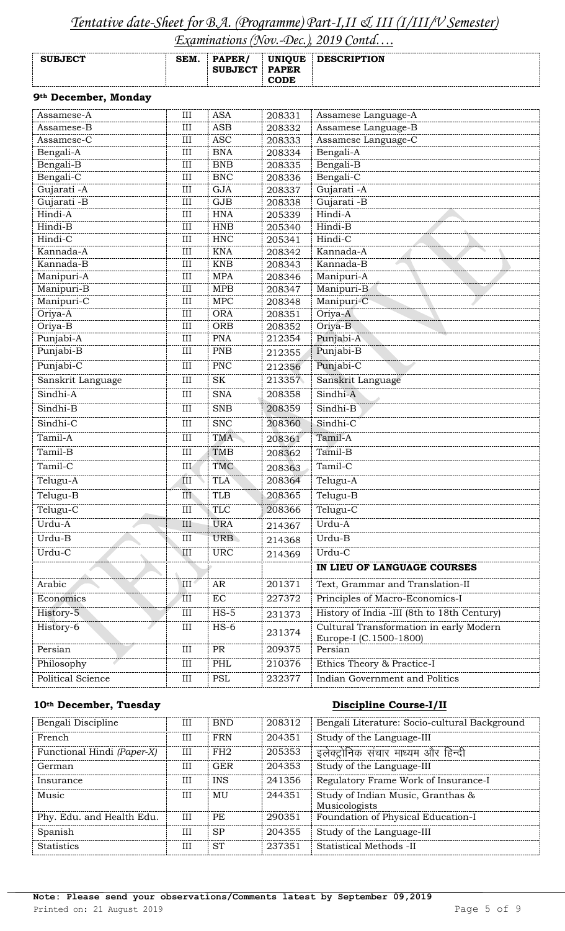# *Tentative date-Sheet for B.A. (Programme) Part-I,II & III (I/III/V Semester)*

*Examinations (Nov.-Dec.), 2019 Contd….*

| <b>SUBJECT</b> | SEM. | PAPER/<br><b>SUBJECT</b> | UNIQUE<br><b>PAPER</b><br>CODE | <b>DESCRIPTION</b> |
|----------------|------|--------------------------|--------------------------------|--------------------|
|                |      |                          |                                |                    |

## **9th December, Monday**

| Assamese-A             | III              | <b>ASA</b>               | 208331           | Assamese Language-A                                               |  |
|------------------------|------------------|--------------------------|------------------|-------------------------------------------------------------------|--|
| Assamese-B             | III              | <b>ASB</b>               | 208332           | Assamese Language-B                                               |  |
| Assamese-C             | $\rm III$        | <b>ASC</b>               | 208333           | Assamese Language-C                                               |  |
| Bengali-A              | $\rm III$        | <b>BNA</b>               | 208334           | Bengali-A                                                         |  |
| Bengali-B              | III              | <b>BNB</b>               | 208335           | Bengali-B                                                         |  |
| Bengali-C              | $\rm III$        | <b>BNC</b>               | 208336           | Bengali-C                                                         |  |
| Gujarati -A            | $\rm III$        | <b>GJA</b>               | 208337           | Gujarati - A                                                      |  |
| Gujarati -B            | III              | GJB                      | 208338           | Gujarati -B                                                       |  |
| Hindi-A                | III              | <b>HNA</b>               | 205339           | Hindi-A                                                           |  |
| Hindi-B                | III              | <b>HNB</b>               | 205340           | Hindi-B                                                           |  |
| Hindi-C                | $\rm III$        | <b>HNC</b>               | 205341           | Hindi-C                                                           |  |
| Kannada-A              | III              | <b>KNA</b>               | 208342           | Kannada-A                                                         |  |
| Kannada-B              | III              | <b>KNB</b>               | 208343           | Kannada-B                                                         |  |
| Manipuri-A             | III              | <b>MPA</b>               | 208346           | Manipuri-A                                                        |  |
| Manipuri-B             | III              | <b>MPB</b>               | 208347           | Manipuri-B                                                        |  |
| Manipuri-C             | III              | <b>MPC</b>               | 208348           | Manipuri-C                                                        |  |
| Oriya-A                | III              | <b>ORA</b>               | 208351           | Oriya-A                                                           |  |
| Oriya-B                | III<br>$\rm III$ | <b>ORB</b><br><b>PNA</b> | 208352<br>212354 | Oriya-B<br>Punjabi-A                                              |  |
| Punjabi-A<br>Punjabi-B | III              | <b>PNB</b>               |                  | Punjabi-B                                                         |  |
|                        |                  |                          | 212355           |                                                                   |  |
| Punjabi-C              | $\rm III$        | <b>PNC</b>               | 212356           | Punjabi-C                                                         |  |
| Sanskrit Language      | $\rm III$        | <b>SK</b>                | 213357           | Sanskrit Language                                                 |  |
| Sindhi-A               | III              | <b>SNA</b>               | 208358           | Sindhi-A                                                          |  |
| Sindhi-B               | III              | <b>SNB</b>               | 208359           | Sindhi-B                                                          |  |
| Sindhi-C               | III              | <b>SNC</b>               | 208360           | Sindhi-C                                                          |  |
| Tamil-A                | III              | <b>TMA</b>               | 208361           | Tamil-A                                                           |  |
| Tamil-B                | $\rm III$        | <b>TMB</b>               | 208362           | Tamil-B                                                           |  |
| Tamil-C                | III              | TMC                      | 208363           | Tamil-C                                                           |  |
| Telugu-A               | III              | <b>TLA</b>               | 208364           | Telugu-A                                                          |  |
| Telugu-B               | III              | <b>TLB</b>               | 208365           | Telugu-B                                                          |  |
| Telugu-C               | $\rm III$        | <b>TLC</b>               | 208366           | Telugu-C                                                          |  |
| Urdu-A                 | III              | <b>URA</b>               | 214367           | Urdu-A                                                            |  |
| Urdu-B                 | III              | <b>URB</b>               | 214368           | Urdu-B                                                            |  |
| Urdu-C                 | III              | <b>URC</b>               | 214369           | Urdu-C                                                            |  |
|                        |                  |                          |                  | IN LIEU OF LANGUAGE COURSES                                       |  |
| Arabic                 | III              | AR                       | 201371           | Text, Grammar and Translation-II                                  |  |
| Economics              | $\mathbf{III}$   | $\rm EC$                 | 227372           | Principles of Macro-Economics-I                                   |  |
| History-5              | III              | $HS-5$                   | 231373           | History of India -III (8th to 18th Century)                       |  |
| History-6              | $\rm III$        | $HS-6$                   | 231374           | Cultural Transformation in early Modern<br>Europe-I (C.1500-1800) |  |
| Persian                | $\rm III$        | PR                       | 209375           | Persian                                                           |  |
| Philosophy             | $\rm III$        | PHL                      | 210376           | Ethics Theory & Practice-I                                        |  |
| Political Science      | $\rm III$        | PSL                      | 232377           | Indian Government and Politics                                    |  |

## **10th December, Tuesday Discipline Course-I/II**

| Bengali Discipline         | Ш | <b>BND</b>      | 208312 | Bengali Literature: Socio-cultural Background      |
|----------------------------|---|-----------------|--------|----------------------------------------------------|
| French                     | Ш | <b>FRN</b>      | 204351 | Study of the Language-III                          |
| Functional Hindi (Paper-X) | Ш | FH <sub>2</sub> | 205353 | इलेक्ट्रोनिक संचार माध्यम और हिन्दी                |
| German                     | Ш | <b>GER</b>      | 204353 | Study of the Language-III                          |
| Insurance                  | Ш | <b>INS</b>      | 241356 | Regulatory Frame Work of Insurance-I               |
| Music                      | Ш | MU              | 244351 | Study of Indian Music, Granthas &<br>Musicologists |
| Phy. Edu. and Health Edu.  | Ш | PE              | 290351 | Foundation of Physical Education-I                 |
| Spanish                    | Ш | <b>SP</b>       | 204355 | Study of the Language-III                          |
| <b>Statistics</b>          | Ш | <b>ST</b>       | 237351 | Statistical Methods -II                            |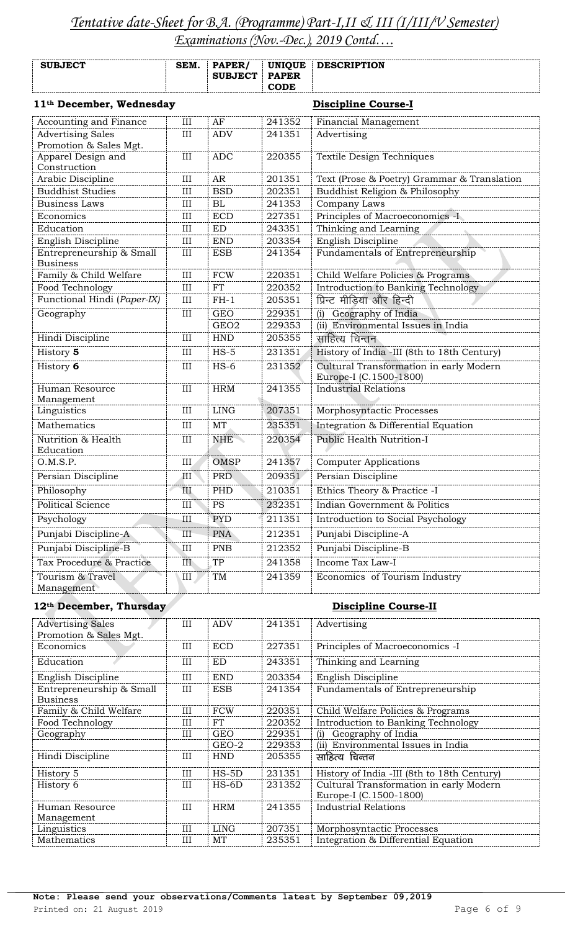|                                                    |           |                             |                                              | <b>DESCRIPTION</b>                                                |  |
|----------------------------------------------------|-----------|-----------------------------|----------------------------------------------|-------------------------------------------------------------------|--|
| <b>SUBJECT</b>                                     | SEM.      | PAPER/<br><b>SUBJECT</b>    | <b>UNIQUE</b><br><b>PAPER</b><br><b>CODE</b> |                                                                   |  |
| 11 <sup>th</sup> December, Wednesday               |           |                             |                                              | <b>Discipline Course-I</b>                                        |  |
| Accounting and Finance                             | III       | AF                          | 241352                                       | Financial Management                                              |  |
| <b>Advertising Sales</b><br>Promotion & Sales Mgt. | III       | <b>ADV</b>                  | 241351                                       | Advertising                                                       |  |
| Apparel Design and<br>Construction                 | III       | <b>ADC</b>                  | 220355                                       | Textile Design Techniques                                         |  |
| Arabic Discipline                                  | III       | <b>AR</b>                   | 201351                                       | Text (Prose & Poetry) Grammar & Translation                       |  |
| <b>Buddhist Studies</b>                            | III       | <b>BSD</b>                  | 202351                                       | Buddhist Religion & Philosophy                                    |  |
| <b>Business Laws</b>                               | $\rm III$ | <b>BL</b>                   | 241353                                       | Company Laws                                                      |  |
| Economics                                          | $\rm III$ | <b>ECD</b>                  | 227351                                       | Principles of Macroeconomics -I                                   |  |
| Education                                          | III       | <b>ED</b>                   | 243351                                       | Thinking and Learning                                             |  |
| English Discipline                                 | III       | <b>END</b>                  | 203354                                       | English Discipline                                                |  |
| Entrepreneurship & Small<br><b>Business</b>        | $\rm III$ | <b>ESB</b>                  | 241354                                       | Fundamentals of Entrepreneurship                                  |  |
| Family & Child Welfare                             | III       | <b>FCW</b>                  | 220351                                       | Child Welfare Policies & Programs                                 |  |
| Food Technology                                    | III       | <b>FT</b>                   | 220352                                       | Introduction to Banking Technology                                |  |
| Functional Hindi (Paper-IX)                        | $\rm III$ | $FH-1$                      | 205351                                       | प्रिन्ट मीडिया और हिन्दी                                          |  |
| Geography                                          | $\rm III$ | <b>GEO</b>                  | 229351                                       | Geography of India<br>(i)                                         |  |
|                                                    |           | GEO <sub>2</sub>            | 229353                                       | (ii) Environmental Issues in India                                |  |
| Hindi Discipline                                   | III       | <b>HND</b>                  | 205355                                       | साहित्य चिन्तन                                                    |  |
| History 5                                          | $\rm III$ | $HS-5$                      | 231351                                       | History of India -III (8th to 18th Century)                       |  |
| History 6                                          | III       | $HS-6$                      | 231352                                       | Cultural Transformation in early Modern<br>Europe-I (C.1500-1800) |  |
| Human Resource<br>Management                       | III       | <b>HRM</b>                  | 241355                                       | <b>Industrial Relations</b>                                       |  |
| Linguistics                                        | $\rm III$ | <b>LING</b>                 | 207351                                       | Morphosyntactic Processes                                         |  |
| Mathematics                                        | III       | <b>MT</b>                   | 235351                                       | Integration & Differential Equation                               |  |
| Nutrition & Health<br>Education                    | III       | <b>NHE</b>                  | 220354                                       | <b>Public Health Nutrition-I</b>                                  |  |
| O.M.S.P.                                           | III       | <b>OMSP</b>                 | 241357                                       | <b>Computer Applications</b>                                      |  |
| Persian Discipline                                 | III       | <b>PRD</b>                  | 209351                                       | Persian Discipline                                                |  |
| Philosophy                                         | III       | PHD                         | 210351                                       | Ethics Theory & Practice -I                                       |  |
| <b>Political Science</b>                           | $\rm III$ | $\mathop{\mathrm{PS}}$      | 232351                                       | Indian Government & Politics                                      |  |
| Psychology                                         | Ш         | <b>PYD</b>                  | 211351                                       | Introduction to Social Psychology                                 |  |
| Punjabi Discipline-A                               | III       | <b>PNA</b>                  | 212351                                       | Punjabi Discipline-A                                              |  |
| Punjabi Discipline-B                               | III       | <b>PNB</b>                  | 212352                                       | Punjabi Discipline-B                                              |  |
| Tax Procedure & Practice                           | III       | TP                          | 241358                                       | <b>Income Tax Law-I</b>                                           |  |
| Tourism & Travel                                   | III       | TM                          | 241359                                       | Economics of Tourism Industry                                     |  |
| Management                                         |           |                             |                                              |                                                                   |  |
| 12th December, Thursday                            |           |                             |                                              | <b>Discipline Course-II</b>                                       |  |
| <b>Advertising Sales</b><br>Promotion & Sales Mgt. | III       | <b>ADV</b>                  | 241351                                       | Advertising                                                       |  |
| Economics                                          | III       | <b>ECD</b>                  | 227351                                       | Principles of Macroeconomics -I                                   |  |
| Education                                          | Ш         | ED                          | 243351                                       | Thinking and Learning                                             |  |
| English Discipline                                 | III       | $\ensuremath{\mathrm{END}}$ | 203354                                       | English Discipline                                                |  |
| Entrepreneurship & Small<br><b>Business</b>        | III       | <b>ESB</b>                  | 241354                                       | Fundamentals of Entrepreneurship                                  |  |
| Family & Child Welfare                             | III       | <b>FCW</b>                  | 220351                                       | Child Welfare Policies & Programs                                 |  |
| Food Technology                                    | III       | FT                          | 220352                                       | Introduction to Banking Technology                                |  |
| Geography                                          | III       | <b>GEO</b>                  | 229351                                       | Geography of India<br>(i)                                         |  |
|                                                    |           | GEO-2                       | 229353                                       | (ii) Environmental Issues in India                                |  |
| Hindi Discipline                                   | Ш         | <b>HND</b>                  | 205355                                       | साहित्य चिन्तन                                                    |  |

Linguistics III | LING 207351 | Morphosyntactic Processes

Mathematics III MT 235351 Integration & Differential Equation

Human Resource Management

History 5 **III** HS-5D 231351 History of India -III (8th to 18th Century) History 6 III HS-6D 231352 Cultural Transformation in early Modern

III HRM 241355 Industrial Relations

Europe-I (C.1500-1800)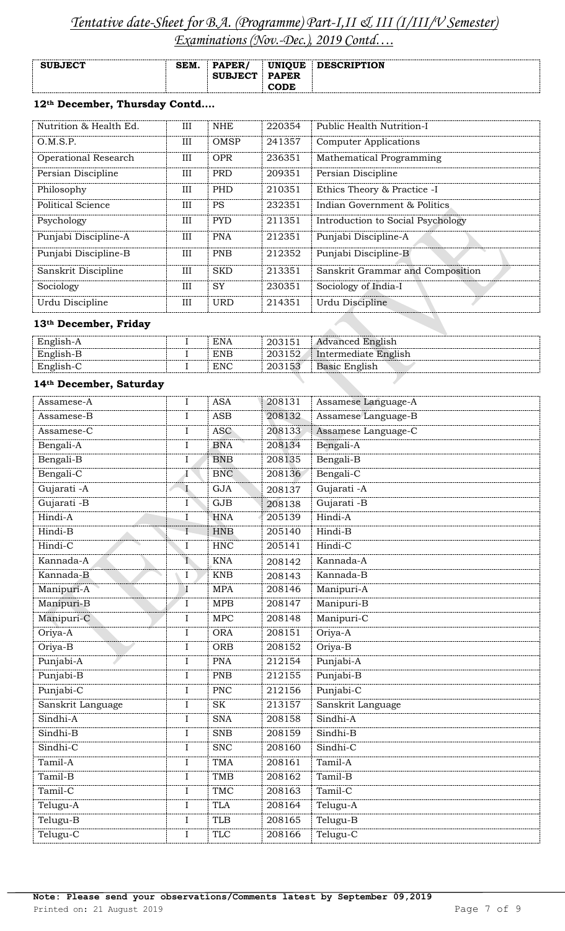| <b>SUBJECT</b> | SEM. | <b>PAPER</b><br><b>SUBJECT</b> | <b>UNIQUE</b><br><b>PAPER</b> | <b>DESCRIPTION</b> |
|----------------|------|--------------------------------|-------------------------------|--------------------|
|                |      |                                | <b>CODE</b>                   |                    |

## **12th December, Thursday Contd….**

| Nutrition & Health Ed. | III | <b>NHE</b> | 220354 | Public Health Nutrition-I         |
|------------------------|-----|------------|--------|-----------------------------------|
| O.M.S.P.               | III | OMSP       | 241357 | <b>Computer Applications</b>      |
| Operational Research   | III | <b>OPR</b> | 236351 | Mathematical Programming          |
| Persian Discipline     | III | <b>PRD</b> | 209351 | Persian Discipline                |
| Philosophy             | III | <b>PHD</b> | 210351 | Ethics Theory & Practice -I       |
| Political Science      | III | <b>PS</b>  | 232351 | Indian Government & Politics      |
| Psychology             | III | <b>PYD</b> | 211351 | Introduction to Social Psychology |
| Punjabi Discipline-A   | III | <b>PNA</b> | 212351 | Punjabi Discipline-A              |
| Punjabi Discipline-B   | III | <b>PNB</b> | 212352 | Punjabi Discipline-B              |
| Sanskrit Discipline    | III | <b>SKD</b> | 213351 | Sanskrit Grammar and Composition  |
| Sociology              | III | <b>SY</b>  | 230351 | Sociology of India-I              |
| Urdu Discipline        | III | <b>URD</b> | 214351 | Urdu Discipline                   |

## **13th December, Friday**

| English-A | <b>ENA</b> | 203151 | <b>Advanced English</b> |
|-----------|------------|--------|-------------------------|
| English-B | <b>ENB</b> | 203152 | Intermediate English    |
| English-C | <b>ENC</b> | 203153 | Basic English           |
|           |            |        |                         |

## **14th December, Saturday**

| Assamese-B<br>Assamese-C | $\mathbf I$  | <b>ASB</b> | 208132 |                     |
|--------------------------|--------------|------------|--------|---------------------|
|                          |              |            |        | Assamese Language-B |
|                          | I            | <b>ASC</b> | 208133 | Assamese Language-C |
| Bengali-A                | $\rm I$      | <b>BNA</b> | 208134 | Bengali-A           |
| Bengali-B                | $\rm I$      | <b>BNB</b> | 208135 | Bengali-B           |
| Bengali-C                | $\mathbf I$  | <b>BNC</b> | 208136 | Bengali-C           |
| Gujarati - A             | $\mathbf I$  | <b>GJA</b> | 208137 | Gujarati - A        |
| Gujarati -B              | I            | GJB        | 208138 | Gujarati -B         |
| Hindi-A                  | $\rm I$      | <b>HNA</b> | 205139 | Hindi-A             |
| Hindi-B                  | $\rm I$      | <b>HNB</b> | 205140 | Hindi-B             |
| Hindi-C                  | $\rm I$      | <b>HNC</b> | 205141 | Hindi-C             |
| Kannada-A                | $\mathbf{I}$ | <b>KNA</b> | 208142 | Kannada-A           |
| Kannada-B                | $\mathbf I$  | <b>KNB</b> | 208143 | Kannada-B           |
| Manipuri-A               | $\mathbf I$  | <b>MPA</b> | 208146 | Manipuri-A          |
| Manipuri-B               | $\rm I$      | <b>MPB</b> | 208147 | Manipuri-B          |
| Manipuri-C               | $\mathbf I$  | <b>MPC</b> | 208148 | Manipuri-C          |
| Oriya-A                  | $\rm I$      | <b>ORA</b> | 208151 | Oriya-A             |
| Oriya-B                  | $\mathbf I$  | <b>ORB</b> | 208152 | Oriya-B             |
| Punjabi-A                | $\rm I$      | <b>PNA</b> | 212154 | Punjabi-A           |
| Punjabi-B                | $\rm I$      | <b>PNB</b> | 212155 | Punjabi-B           |
| Punjabi-C                | $\mathbf I$  | <b>PNC</b> | 212156 | Punjabi-C           |
| Sanskrit Language        | $\rm I$      | <b>SK</b>  | 213157 | Sanskrit Language   |
| Sindhi-A                 | $\mathbf I$  | <b>SNA</b> | 208158 | Sindhi-A            |
| Sindhi-B                 | $\mathbf I$  | <b>SNB</b> | 208159 | Sindhi-B            |
| Sindhi-C                 | $\mathbf I$  | SNC        | 208160 | Sindhi-C            |
| Tamil-A                  | $\rm I$      | <b>TMA</b> | 208161 | Tamil-A             |
| Tamil-B                  | $\rm I$      | <b>TMB</b> | 208162 | Tamil-B             |
| Tamil-C                  | $\mathbf I$  | <b>TMC</b> | 208163 | Tamil-C             |
| Telugu-A                 | $\rm I$      | <b>TLA</b> | 208164 | Telugu-A            |
| Telugu-B                 | $\rm I$      | <b>TLB</b> | 208165 | Telugu-B            |
| Telugu-C                 | $\rm I$      | <b>TLC</b> | 208166 | Telugu-C            |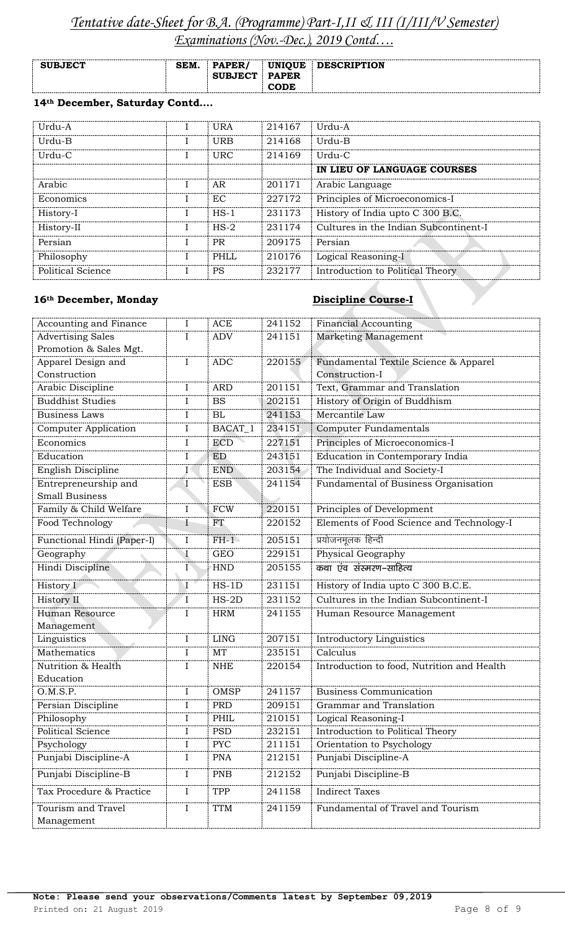| <b>SUBJECT</b> | SEM. | PAPER/         | <b>UNIQUE</b> | <b>DESCRIPTION</b> |
|----------------|------|----------------|---------------|--------------------|
|                |      | <b>SUBJECT</b> | <b>PAPER</b>  |                    |
|                |      |                | <b>CODE</b>   |                    |

## **14th December, Saturday Contd….**

| Urdu-A            | <b>URA</b>  | 214167 | Urdu-A                                |
|-------------------|-------------|--------|---------------------------------------|
| Urdu-B            | <b>URB</b>  | 214168 | Urdu-B                                |
| Urdu-C            | <b>URC</b>  | 214169 | Urdu-C                                |
|                   |             |        | IN LIEU OF LANGUAGE COURSES           |
| Arabic            | AR.         | 201171 | Arabic Language                       |
| Economics         | EC.         | 227172 | Principles of Microeconomics-I        |
| History-I         | $HS-1$      | 231173 | History of India upto C 300 B.C.      |
| History-II        | $HS-2$      | 231174 | Cultures in the Indian Subcontinent-I |
| Persian           | <b>PR</b>   | 209175 | Persian                               |
| Philosophy        | <b>PHLL</b> | 210176 | Logical Reasoning-I                   |
| Political Science | <b>PS</b>   | 232177 | Introduction to Political Theory      |

## 16<sup>th</sup> December, Monday Discipline Course-I

| Accounting and Finance           | I              | <b>ACE</b>  | 241152 | <b>Financial Accounting</b>                |
|----------------------------------|----------------|-------------|--------|--------------------------------------------|
| <b>Advertising Sales</b>         | I              | <b>ADV</b>  | 241151 | Marketing Management                       |
| Promotion & Sales Mgt.           |                |             |        |                                            |
| Apparel Design and               | I              | <b>ADC</b>  | 220155 | Fundamental Textile Science & Apparel      |
| Construction                     |                |             |        | Construction-I                             |
| Arabic Discipline                | $\bf{I}$       | <b>ARD</b>  | 201151 | Text, Grammar and Translation              |
| <b>Buddhist Studies</b>          | I              | <b>BS</b>   | 202151 | History of Origin of Buddhism              |
| <b>Business Laws</b>             | $\bf{I}$       | BL          | 241153 | Mercantile Law                             |
| <b>Computer Application</b>      | I              | BACAT_1     | 234151 | Computer Fundamentals                      |
| Economics                        | I              | <b>ECD</b>  | 227151 | Principles of Microeconomics-I             |
| Education                        | I              | <b>ED</b>   | 243151 | Education in Contemporary India            |
| English Discipline               | I              | <b>END</b>  | 203154 | The Individual and Society-I               |
| Entrepreneurship and             | $\mathbf I$    | <b>ESB</b>  | 241154 | Fundamental of Business Organisation       |
| <b>Small Business</b>            |                |             |        |                                            |
| Family & Child Welfare           | $\rm I$        | <b>FCW</b>  | 220151 | Principles of Development                  |
| Food Technology                  | I              | FT          | 220152 | Elements of Food Science and Technology-I  |
| Functional Hindi (Paper-I)       | I              | $FH-1$      | 205151 | प्रयोजनमूलक हिन्दी                         |
| Geography                        | $\mathbf I$    | <b>GEO</b>  | 229151 | Physical Geography                         |
| Hindi Discipline                 | $\mathbf{I}$   | <b>HND</b>  | 205155 | कथा एंव संस्मरण-साहित्य                    |
| History I                        | $\overline{I}$ | $HS-1D$     | 231151 | History of India upto C 300 B.C.E.         |
| History II                       | $\mathbf{I}$   | $HS-2D$     | 231152 | Cultures in the Indian Subcontinent-I      |
| Human Resource                   | I              | <b>HRM</b>  | 241155 | Human Resource Management                  |
|                                  |                |             |        |                                            |
| Management                       |                |             |        |                                            |
| Linguistics                      | $\mathbf I$    | <b>LING</b> | 207151 | Introductory Linguistics                   |
| Mathematics                      | $\bf{I}$       | MT          | 235151 | Calculus                                   |
| Nutrition & Health               | I              | $\rm NHE$   | 220154 | Introduction to food, Nutrition and Health |
| Education                        |                |             |        |                                            |
| O.M.S.P.                         | I              | OMSP        | 241157 | <b>Business Communication</b>              |
| Persian Discipline               | I              | <b>PRD</b>  | 209151 | Grammar and Translation                    |
| Philosophy                       | I              | PHIL        | 210151 | Logical Reasoning-I                        |
| Political Science                | I              | <b>PSD</b>  | 232151 | Introduction to Political Theory           |
| Psychology                       | I              | <b>PYC</b>  | 211151 | Orientation to Psychology                  |
| Punjabi Discipline-A             | Ι              | <b>PNA</b>  | 212151 | Punjabi Discipline-A                       |
| Punjabi Discipline-B             | $\mathbf I$    | <b>PNB</b>  | 212152 | Punjabi Discipline-B                       |
| Tax Procedure & Practice         | I              | TPP         | 241158 | <b>Indirect Taxes</b>                      |
| Tourism and Travel<br>Management | $\rm I$        | <b>TTM</b>  | 241159 | Fundamental of Travel and Tourism          |